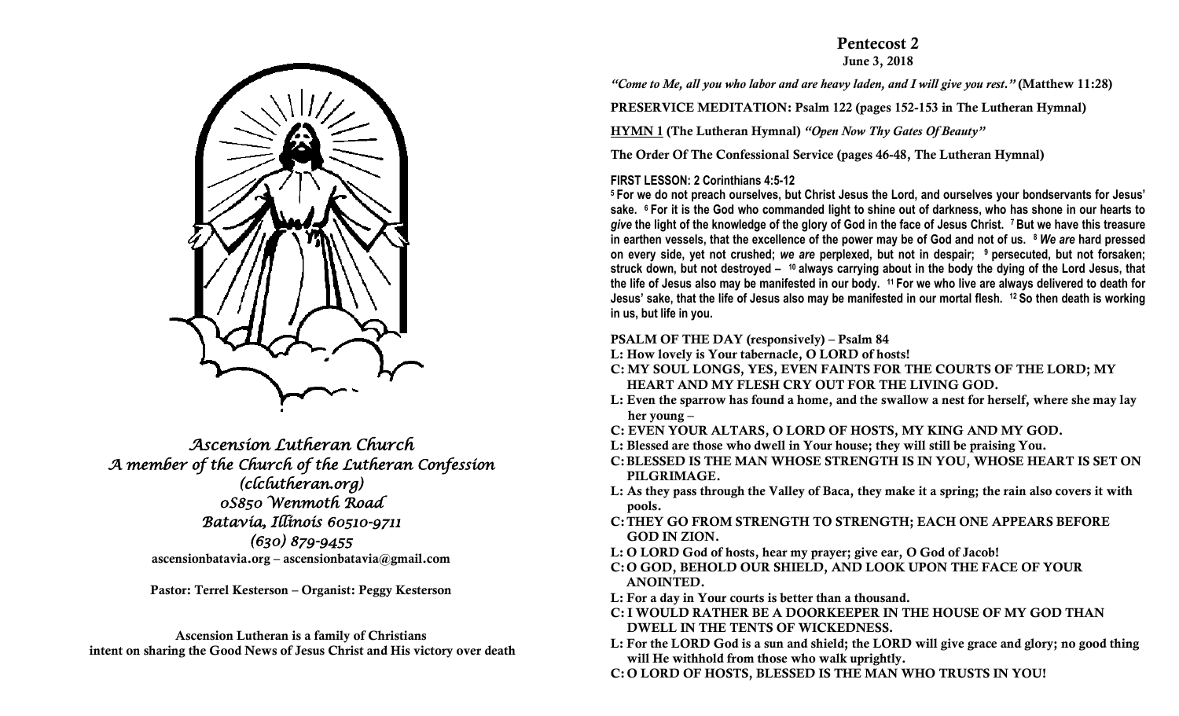# **Pentecost 2**

## **June 3, 2018**

*"Come to Me, all you who labor and are heavy laden, and I will give you rest."* **(Matthew 11:28)**

**PRESERVICE MEDITATION: Psalm 122 (pages 152-153 in The Lutheran Hymnal)**

**HYMN 1 (The Lutheran Hymnal)** *"Open Now Thy Gates Of Beauty"*

**The Order Of The Confessional Service (pages 46-48, The Lutheran Hymnal)**

## **FIRST LESSON: 2 Corinthians 4:5-12**

**<sup>5</sup>For we do not preach ourselves, but Christ Jesus the Lord, and ourselves your bondservants for Jesus' sake. 6 For it is the God who commanded light to shine out of darkness, who has shone in our hearts to**  *give* **the light of the knowledge of the glory of God in the face of Jesus Christ. 7 But we have this treasure in earthen vessels, that the excellence of the power may be of God and not of us. 8** *We are* **hard pressed on every side, yet not crushed;** *we are* **perplexed, but not in despair; 9 persecuted, but not forsaken; struck down, but not destroyed – <sup>10</sup>always carrying about in the body the dying of the Lord Jesus, that the life of Jesus also may be manifested in our body. 11 For we who live are always delivered to death for Jesus' sake, that the life of Jesus also may be manifested in our mortal flesh. 12 So then death is working in us, but life in you.**

- **PSALM OF THE DAY (responsively) – Psalm 84**
- **L: How lovely is Your tabernacle, O LORD of hosts!**
- **C: MY SOUL LONGS, YES, EVEN FAINTS FOR THE COURTS OF THE LORD; MY HEART AND MY FLESH CRY OUT FOR THE LIVING GOD.**
- **L: Even the sparrow has found a home, and the swallow a nest for herself, where she may lay her young –**
- **C: EVEN YOUR ALTARS, O LORD OF HOSTS, MY KING AND MY GOD.**
- **L: Blessed are those who dwell in Your house; they will still be praising You.**
- **C:BLESSED IS THE MAN WHOSE STRENGTH IS IN YOU, WHOSE HEART IS SET ON PILGRIMAGE.**
- **L: As they pass through the Valley of Baca, they make it a spring; the rain also covers it with pools.**
- **C:THEY GO FROM STRENGTH TO STRENGTH; EACH ONE APPEARS BEFORE GOD IN ZION.**
- **L: O LORD God of hosts, hear my prayer; give ear, O God of Jacob!**
- **C:O GOD, BEHOLD OUR SHIELD, AND LOOK UPON THE FACE OF YOUR ANOINTED.**
- **L: For a day in Your courts is better than a thousand.**
- **C: I WOULD RATHER BE A DOORKEEPER IN THE HOUSE OF MY GOD THAN DWELL IN THE TENTS OF WICKEDNESS.**
- **L: For the LORD God is a sun and shield; the LORD will give grace and glory; no good thing will He withhold from those who walk uprightly.**
- **C: O LORD OF HOSTS, BLESSED IS THE MAN WHO TRUSTS IN YOU!**



*Ascension Lutheran Church A member of the Church of the Lutheran Confession (clclutheran.org) 0S850 Wenmoth Road Batavia, Illinois 60510-9711 (630) 879-9455*  **ascensionbatavia.org – ascensionbatavia@gmail.com**

**Pastor: Terrel Kesterson – Organist: Peggy Kesterson**

**Ascension Lutheran is a family of Christians intent on sharing the Good News of Jesus Christ and His victory over death**